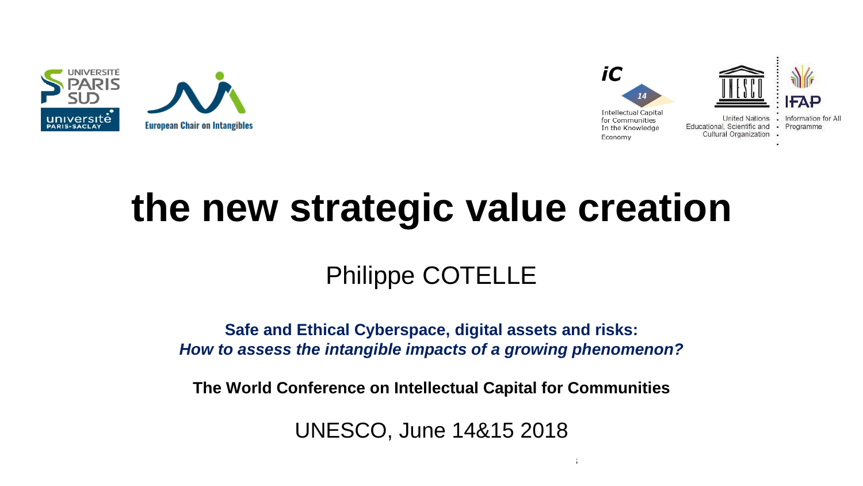



# **the new strategic value creation**

### Philippe COTELLE

**Safe and Ethical Cyberspace, digital assets and risks:**  *How to assess the intangible impacts of a growing phenomenon?*

**The World Conference on Intellectual Capital for Communities**

UNESCO, June 14&15 2018

 $14\pm 15$ th June 2018 The World Conference on Intellectual Capital for Communities on Intellectual for Communities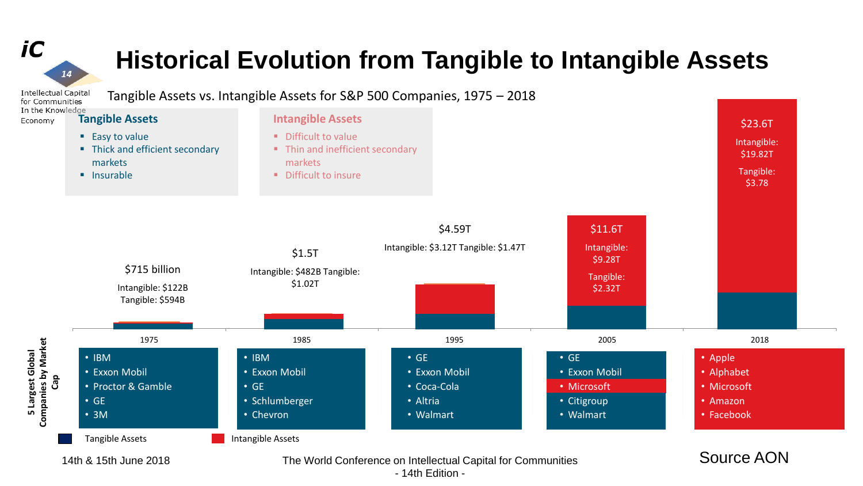## **Historical Evolution from Tangible to Intangible Assets**

iC

 $14$ 



- 14th Edition -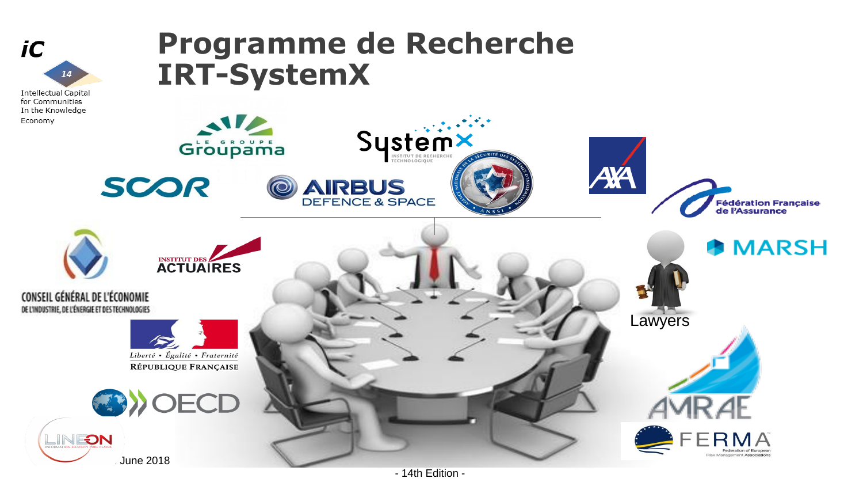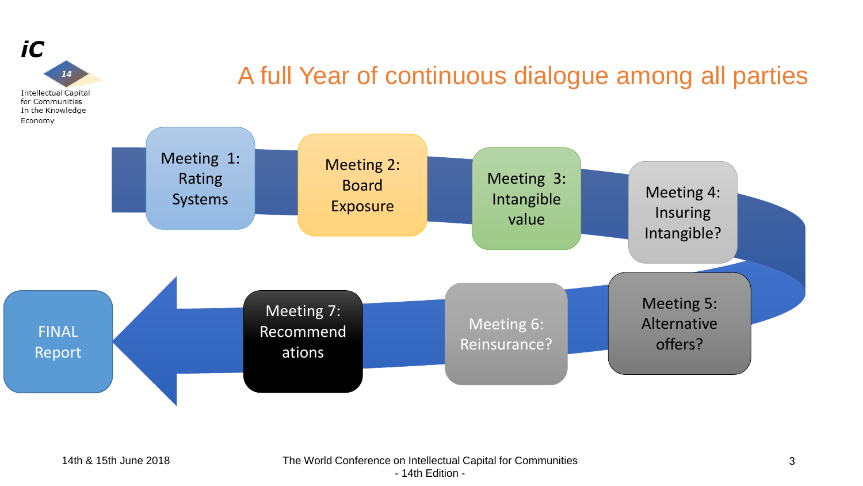

### A full Year of continuous dialogue among all parties

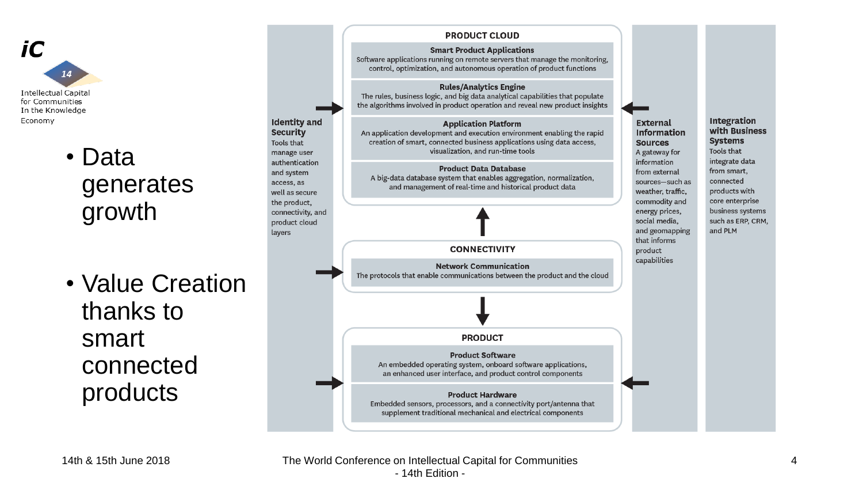

### • Data generates growth

• Value Creation thanks to smart connected products

### **PRODUCT CLOUD Smart Product Applications** Software applications running on remote servers that manage the monitoring, control, optimization, and autonomous operation of product functions **Rules/Analytics Engine** The rules, business logic, and big data analytical capabilities that populate the algorithms involved in product operation and reveal new product insights **Identity and Integration External Application Platform** with Business **Security** An application development and execution environment enabling the rapid **Information Systems** creation of smart, connected business applications using data access, Tools that **Sources** visualization, and run-time tools Tools that A gateway for manage user integrate data authentication information **Product Data Database** from smart, from external and system A big-data database system that enables aggregation, normalization, sources-such as connected access, as and management of real-time and historical product data weather, traffic, products with well as secure commodity and core enterprise the product. business systems connectivity, and energy prices, social media. such as ERP, CRM, product cloud and geomapping and PLM layers that informs **CONNECTIVITY** product capabilities **Network Communication** The protocols that enable communications between the product and the cloud **PRODUCT Product Software** An embedded operating system, onboard software applications, an enhanced user interface, and product control components **Product Hardware** Embedded sensors, processors, and a connectivity port/antenna that supplement traditional mechanical and electrical components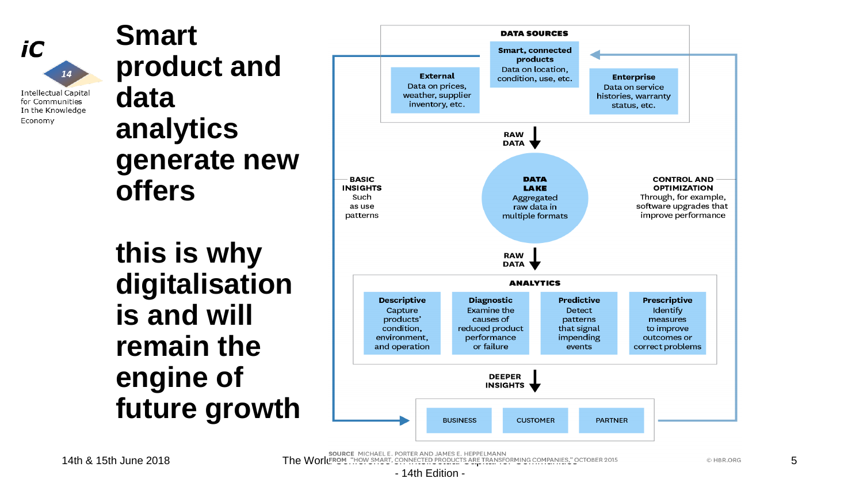iC  $14$ **Intellectual Capital** 

for Communities

Economy

In the Knowledge

**Smart product and data analytics generate new offers**

**this is why digitalisation is and will remain the engine of future growth**



SOURCE MICHAEL E. PORTER AND JAMES E. HEPPELMANN SOURGET THE **8** 15th June 2018 The World Communities," October 2015

5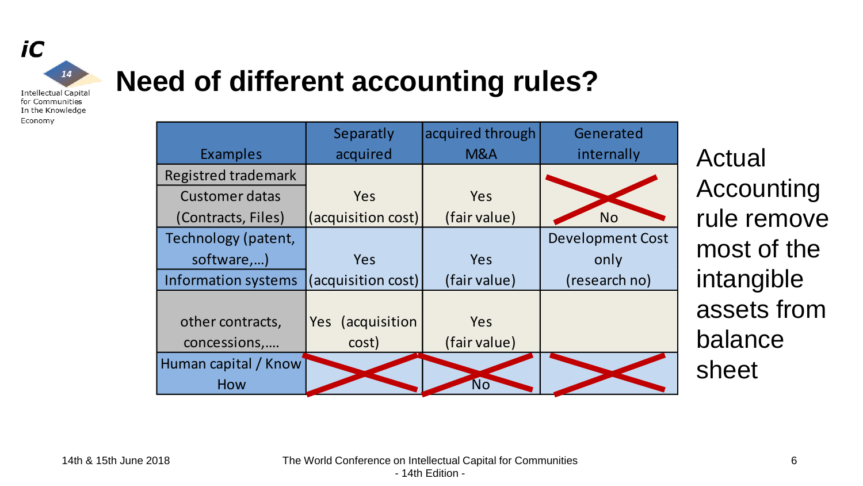

## **Need of different accounting rules?**

|                            | Separatly          | acquired through | Generated               |
|----------------------------|--------------------|------------------|-------------------------|
| <b>Examples</b>            | acquired           | M&A              | internally              |
| <b>Registred trademark</b> |                    |                  |                         |
| <b>Customer datas</b>      | Yes                | Yes              |                         |
| (Contracts, Files)         | (acquisition cost) | (fair value)     | <b>No</b>               |
| Technology (patent,        |                    |                  | <b>Development Cost</b> |
| software,)                 | <b>Yes</b>         | Yes              | only                    |
| <b>Information systems</b> | (acquisition cost) | (fair value)     | (research no)           |
|                            |                    |                  |                         |
| other contracts,           | Yes (acquisition   | Yes              |                         |
|                            |                    |                  |                         |
| concessions,               | cost)              | (fair value)     |                         |
| Human capital / Know       |                    |                  |                         |
| How                        |                    | <b>No</b>        |                         |

Actual Accounting rule remove most of the intangible assets from balance sheet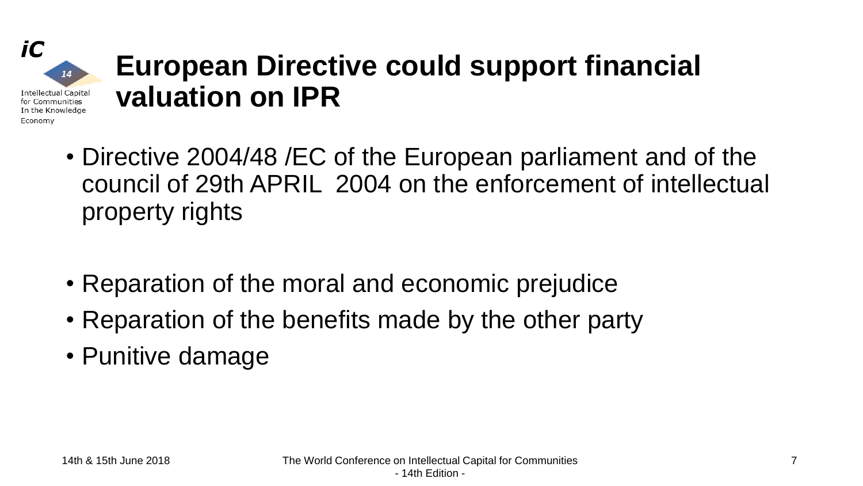# **European Directive could support financial valuation on IPR**

- Directive 2004/48 /EC of the European parliament and of the council of 29th APRIL 2004 on the enforcement of intellectual property rights
- Reparation of the moral and economic prejudice
- Reparation of the benefits made by the other party
- Punitive damage

iC

Economy

 $14$ 

**Intellectual Capital** for Communities In the Knowledge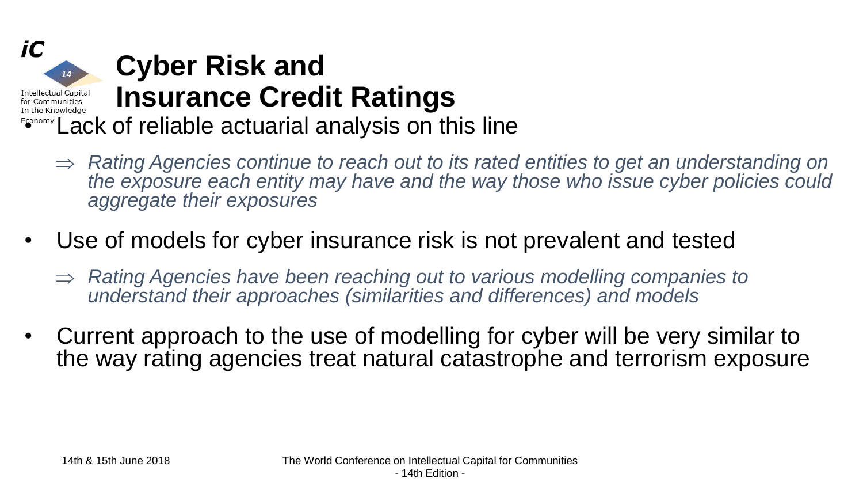

- *Rating Agencies continue to reach out to its rated entities to get an understanding on the exposure each entity may have and the way those who issue cyber policies could aggregate their exposures*
- Use of models for cyber insurance risk is not prevalent and tested
	- *Rating Agencies have been reaching out to various modelling companies to understand their approaches (similarities and differences) and models*
- Current approach to the use of modelling for cyber will be very similar to the way rating agencies treat natural catastrophe and terrorism exposure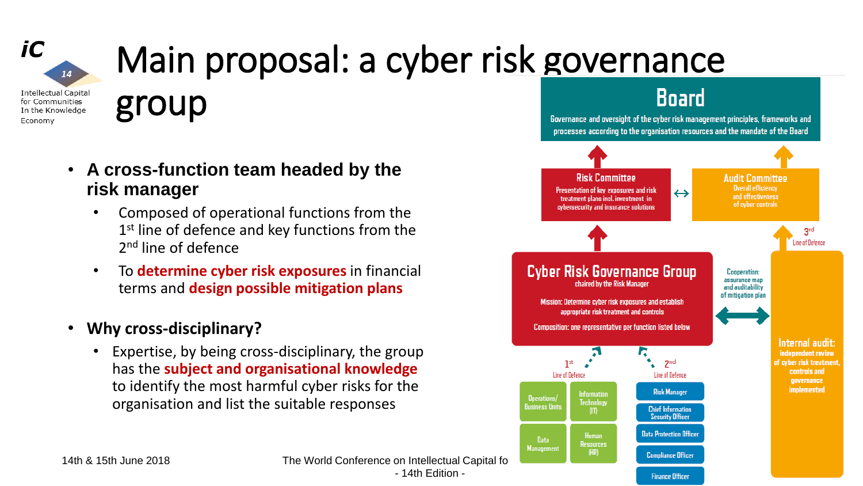

# Main proposal: a cyber risk governance

**Intellectual Capital** for Communities In the Knowledge Economy

group

- **A cross-function team headed by the risk manager** 
	- Composed of operational functions from the 1<sup>st</sup> line of defence and key functions from the 2<sup>nd</sup> line of defence
	- To **determine cyber risk exposures** in financial terms and **design possible mitigation plans**
- **Why cross-disciplinary?**
	- Expertise, by being cross-disciplinary, the group has the **subject and organisational knowledge**  to identify the most harmful cyber risks for the organisation and list the suitable responses



**Finance Officer** 

**Board** 

14th & 15th June 2018 The World Conference on Intellectual Capital for Communities - 14th Edition -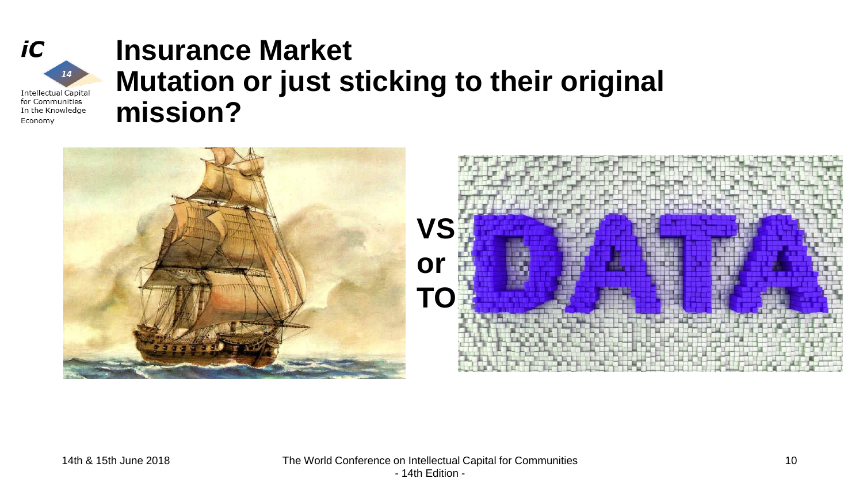$iC$ 

Economy

 $14$ 

**Intellectual Capital** for Communities In the Knowledge

## **Insurance Market Mutation or just sticking to their original mission?**